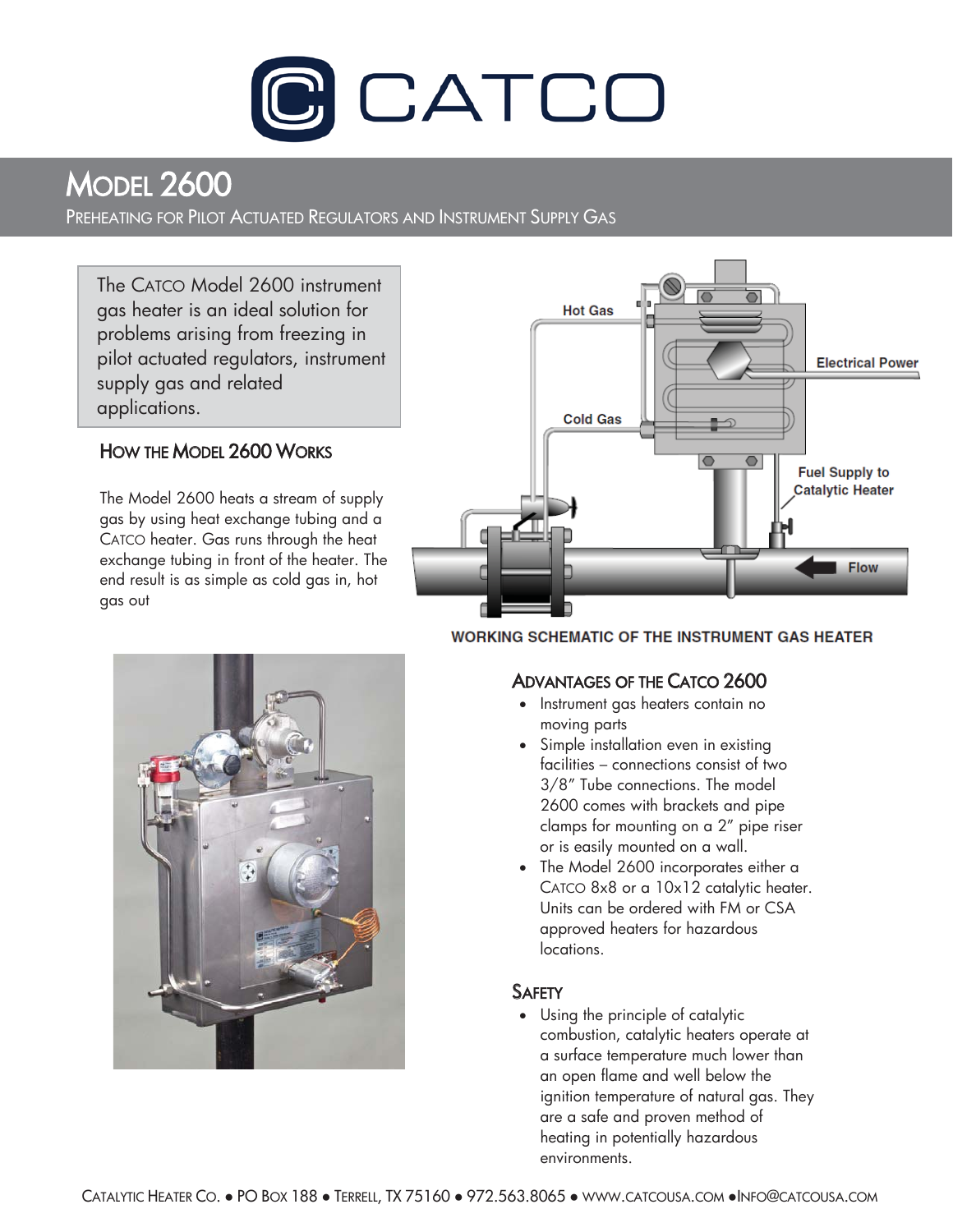

MODEL 2600<br>Preheating for Pilot Actuated Regulators and Instrument Supply Gas

 gas heater is an ideal solution for The CATCO Model 2600 instrument problems arising from freezing in pilot actuated regulators, instrument supply gas and related applications.

# HOW THE MODEL 2600 WORKS

The Model 2600 heats a stream of supply gas by using heat exchange tubing and a CATCO heater. Gas runs through the heat exchange tubing in front of the heater. The end result is as simple as cold gas in, hot gas out



# **WORKING SCHEMATIC OF THE INSTRUMENT GAS HEATER**



- Instrument gas heaters contain no moving parts
- Simple installation even in existing facilities – connections consist of two 3/8" Tube connections. The model 2600 comes with brackets and pipe clamps for mounting on a 2" pipe riser or is easily mounted on a wall.
- The Model 2600 incorporates either a CATCO 8x8 or a 10x12 catalytic heater. Units can be ordered with FM or CSA approved heaters for hazardous locations.

## **SAFETY**

• Using the principle of catalytic combustion, catalytic heaters operate at a surface temperature much lower than an open flame and well below the ignition temperature of natural gas. They are a safe and proven method of heating in potentially hazardous environments.